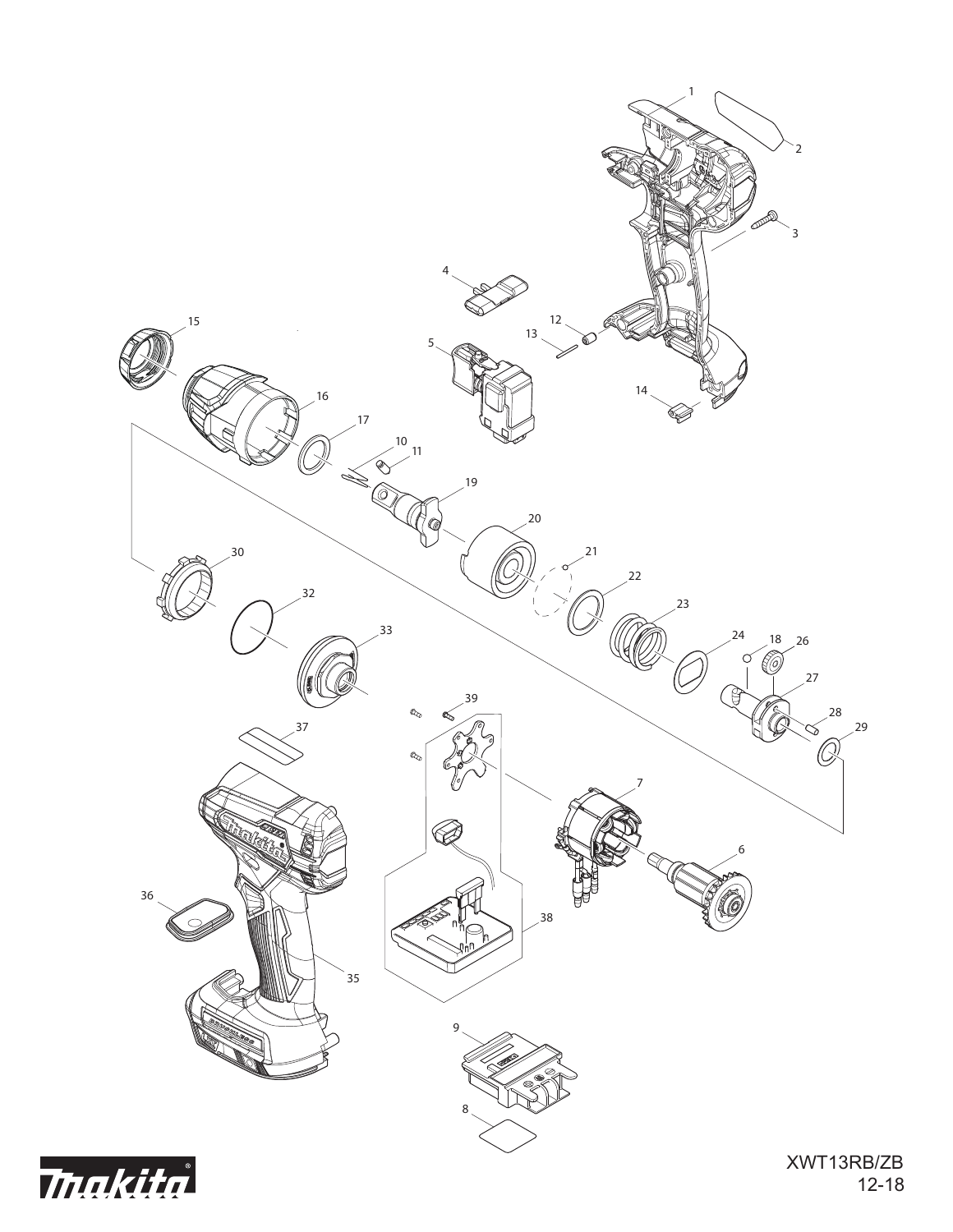

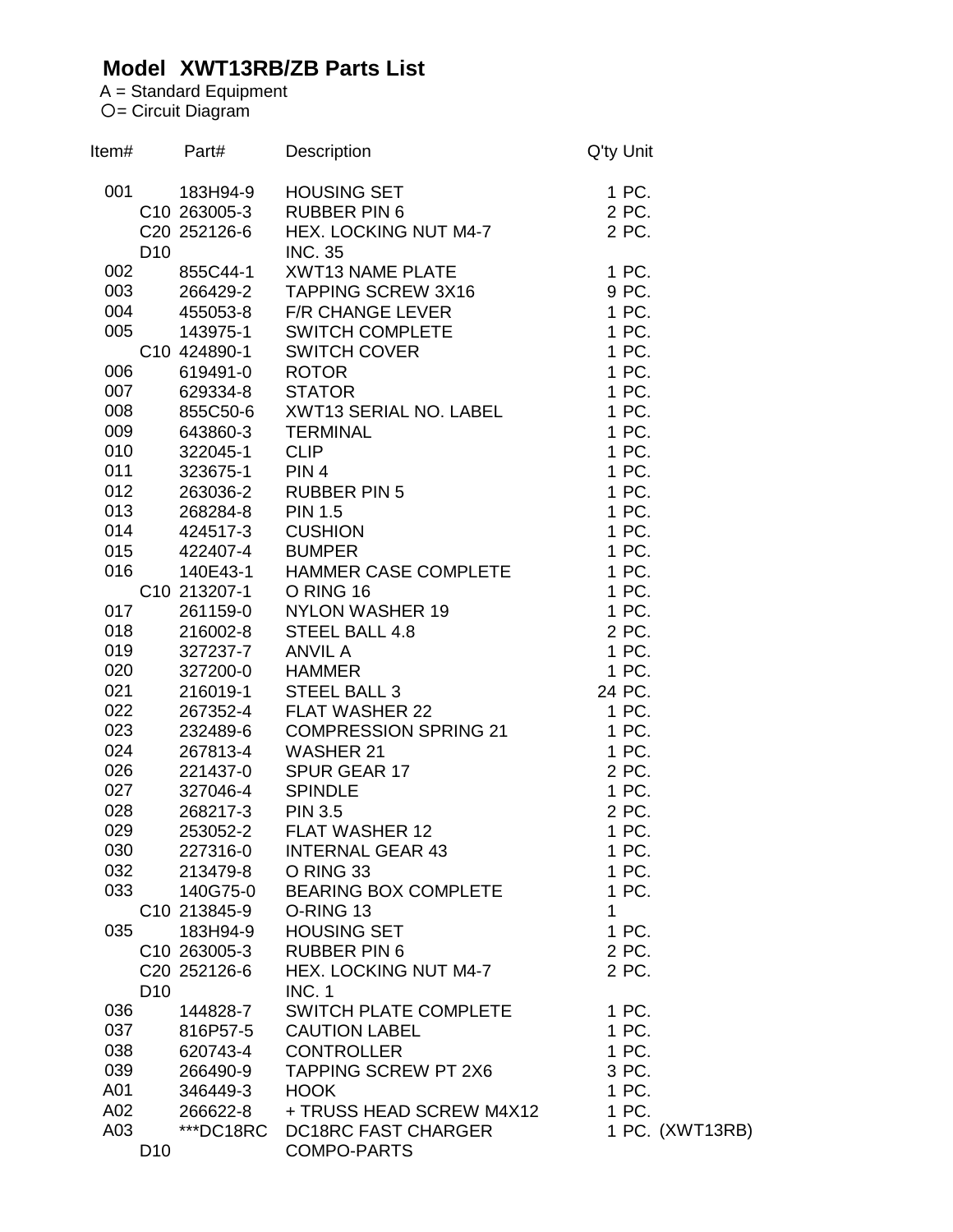## **Model XWT13RB/ZB Parts List**

A = Standard Equipment = Circuit Diagram

| Item# |                 | Part#                    | Description                                                                                                                                                                                                        | Q'ty Unit      |                 |
|-------|-----------------|--------------------------|--------------------------------------------------------------------------------------------------------------------------------------------------------------------------------------------------------------------|----------------|-----------------|
| 001   |                 | 183H94-9                 | HOUSING SET<br>RUBBER PIN 6<br>HEX. LOCKING NUT M4-7                                                                                                                                                               | 1 PC.          |                 |
|       |                 |                          | C10 263005-3 RUBBER PIN 6                                                                                                                                                                                          | 2 PC.          |                 |
|       |                 | C20 252126-6             |                                                                                                                                                                                                                    | 2 PC.          |                 |
|       | D <sub>10</sub> |                          | <b>INC. 35</b>                                                                                                                                                                                                     |                |                 |
| 002   |                 |                          | 855C44-1 XWT13 NAME PLATE<br>266429-2 TAPPING SCREW 3X16                                                                                                                                                           | 1 PC.          |                 |
| 003   |                 |                          |                                                                                                                                                                                                                    | 9 PC.          |                 |
| 004   |                 |                          |                                                                                                                                                                                                                    | 1 PC.          |                 |
| 005   |                 |                          |                                                                                                                                                                                                                    | 1 PC.          |                 |
|       |                 | C10 424890-1             | 200429-2<br>455053-8 F/R CHANGE LEVER<br>143975-1 SWITCH COMPLETE<br>424890-1 SWITCH COVER<br>619491-0 ROTOR<br>629334-8 STATOR                                                                                    | 1 PC.          |                 |
| 006   |                 |                          |                                                                                                                                                                                                                    | 1 PC.          |                 |
| 007   |                 |                          |                                                                                                                                                                                                                    | 1 PC.          |                 |
| 008   |                 |                          | 856C50-6 XWT13 SERIAL NO. LABEL<br>643860-3 TERMINAL                                                                                                                                                               | 1 PC.          |                 |
| 009   |                 |                          |                                                                                                                                                                                                                    | 1 PC.          |                 |
| 010   |                 |                          |                                                                                                                                                                                                                    | 1 PC.          |                 |
| 011   |                 |                          |                                                                                                                                                                                                                    | 1 PC.          |                 |
|       | 012             |                          |                                                                                                                                                                                                                    | 1 PC.          |                 |
|       | 013             |                          |                                                                                                                                                                                                                    | 1 PC.          |                 |
| 014   |                 |                          |                                                                                                                                                                                                                    | 1 PC.          |                 |
| 015   |                 |                          |                                                                                                                                                                                                                    | 1 PC.          |                 |
| 016   |                 |                          | 323675-1 PIN 4<br>263036-2 RUBBER PIN 5<br>268284-8 PIN 1.5<br>424517-3 CUSHION<br>422407-4 BUMPER<br>140E43-1 HAMMER CASE                                                                                         | 1 PC.          |                 |
|       |                 |                          |                                                                                                                                                                                                                    |                |                 |
| 017   |                 |                          |                                                                                                                                                                                                                    |                |                 |
|       | 018             |                          |                                                                                                                                                                                                                    |                |                 |
| 019   |                 |                          |                                                                                                                                                                                                                    |                |                 |
| 020   |                 |                          |                                                                                                                                                                                                                    |                |                 |
| 021   |                 |                          | 261159-0 NYLON WASHER 19<br>216002-8 STEEL BALL 4.8 2 PC.<br>327237-7 ANVIL A 1 PC.<br>327200-0 HAMMER 1 PC.<br>216019-1 STEEL BALL 3 24 PC.<br>267352-4 FLAT WASHER 22 1 PC.<br>232489-6 COMPRESSION SPRING 1 PC. |                |                 |
| 022   |                 |                          |                                                                                                                                                                                                                    |                |                 |
| 023   |                 |                          |                                                                                                                                                                                                                    |                |                 |
| 024   |                 |                          | COMPRESSION SPRING 21<br>267813-4 WASHER 21                                                                                                                                                                        | 1 PC.          |                 |
| 026   |                 |                          | 221437-0 SPUR GEAR 17                                                                                                                                                                                              | 2 PC.          |                 |
| 027   |                 | 327046-4 SPINDLE         |                                                                                                                                                                                                                    | 1 PC.          |                 |
| 028   |                 | 268217-3 PIN 3.5         |                                                                                                                                                                                                                    | 2 PC.          |                 |
| 029   |                 | 253052-2                 | <b>FLAT WASHER 12</b>                                                                                                                                                                                              | 1 PC.          |                 |
| 030   |                 | 227316-0                 | <b>INTERNAL GEAR 43</b>                                                                                                                                                                                            | 1 PC.          |                 |
| 032   |                 | 213479-8                 | O RING 33                                                                                                                                                                                                          | 1 PC.          |                 |
| 033   |                 | 140G75-0                 | <b>BEARING BOX COMPLETE</b>                                                                                                                                                                                        | 1 PC.          |                 |
|       |                 | C10 213845-9             | O-RING 13                                                                                                                                                                                                          | 1              |                 |
| 035   |                 | 183H94-9                 | <b>HOUSING SET</b>                                                                                                                                                                                                 | 1 PC.          |                 |
|       |                 | C <sub>10</sub> 263005-3 | <b>RUBBER PIN 6</b>                                                                                                                                                                                                | 2 PC.          |                 |
|       |                 | C20 252126-6             | <b>HEX. LOCKING NUT M4-7</b>                                                                                                                                                                                       | 2 PC.          |                 |
|       | D <sub>10</sub> |                          | <b>INC. 1</b>                                                                                                                                                                                                      |                |                 |
| 036   |                 |                          |                                                                                                                                                                                                                    |                |                 |
| 037   |                 | 144828-7<br>816P57-5     | SWITCH PLATE COMPLETE                                                                                                                                                                                              | 1 PC.<br>1 PC. |                 |
| 038   |                 |                          | <b>CAUTION LABEL</b>                                                                                                                                                                                               | 1 PC.          |                 |
|       |                 | 620743-4                 | <b>CONTROLLER</b>                                                                                                                                                                                                  |                |                 |
| 039   |                 | 266490-9                 | <b>TAPPING SCREW PT 2X6</b>                                                                                                                                                                                        | 3 PC.          |                 |
| A01   |                 | 346449-3                 | <b>HOOK</b>                                                                                                                                                                                                        | 1 PC.          |                 |
| A02   |                 | 266622-8                 | + TRUSS HEAD SCREW M4X12                                                                                                                                                                                           | 1 PC.          |                 |
| A03   |                 | ***DC18RC                | DC18RC FAST CHARGER                                                                                                                                                                                                |                | 1 PC. (XWT13RB) |
|       | D <sub>10</sub> |                          | <b>COMPO-PARTS</b>                                                                                                                                                                                                 |                |                 |